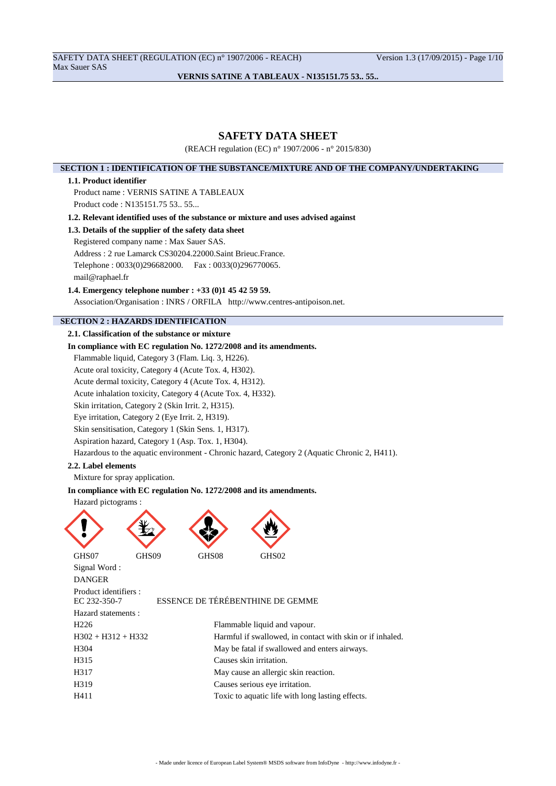SAFETY DATA SHEET (REGULATION (EC) n° 1907/2006 - REACH) Version 1.3 (17/09/2015) - Page 1/10 Max Sauer SAS

## **VERNIS SATINE A TABLEAUX - N135151.75 53.. 55..**

## **SAFETY DATA SHEET**

(REACH regulation (EC) n° 1907/2006 - n° 2015/830)

### **SECTION 1 : IDENTIFICATION OF THE SUBSTANCE/MIXTURE AND OF THE COMPANY/UNDERTAKING**

#### **1.1. Product identifier**

Product name : VERNIS SATINE A TABLEAUX Product code : N135151.75 53.. 55...

**1.2. Relevant identified uses of the substance or mixture and uses advised against**

## **1.3. Details of the supplier of the safety data sheet**

Registered company name : Max Sauer SAS.

Address : 2 rue Lamarck CS30204.22000.Saint Brieuc.France.

Telephone : 0033(0)296682000. Fax : 0033(0)296770065.

mail@raphael.fr

### **1.4. Emergency telephone number : +33 (0)1 45 42 59 59.**

Association/Organisation : INRS / ORFILA http://www.centres-antipoison.net.

## **SECTION 2 : HAZARDS IDENTIFICATION**

## **2.1. Classification of the substance or mixture**

## **In compliance with EC regulation No. 1272/2008 and its amendments.**

Flammable liquid, Category 3 (Flam. Liq. 3, H226).

Acute oral toxicity, Category 4 (Acute Tox. 4, H302).

Acute dermal toxicity, Category 4 (Acute Tox. 4, H312).

Acute inhalation toxicity, Category 4 (Acute Tox. 4, H332).

Skin irritation, Category 2 (Skin Irrit. 2, H315).

Eye irritation, Category 2 (Eye Irrit. 2, H319).

Skin sensitisation, Category 1 (Skin Sens. 1, H317).

Aspiration hazard, Category 1 (Asp. Tox. 1, H304).

Hazardous to the aquatic environment - Chronic hazard, Category 2 (Aquatic Chronic 2, H411).

#### **2.2. Label elements**

Mixture for spray application.

### **In compliance with EC regulation No. 1272/2008 and its amendments.**

#### Hazard pictograms :





GHS07 GHS09 GHS08 GHS02 Signal Word : DANGER Product identifiers :<br>EC 232-350-7 Hazard statements :

#### ESSENCE DE TÉRÉBENTHINE DE GEMME

| Flammable liquid and vapour.                              |
|-----------------------------------------------------------|
| Harmful if swallowed, in contact with skin or if inhaled. |
| May be fatal if swallowed and enters airways.             |
| Causes skin irritation.                                   |
| May cause an allergic skin reaction.                      |
| Causes serious eye irritation.                            |
| Toxic to aquatic life with long lasting effects.          |
|                                                           |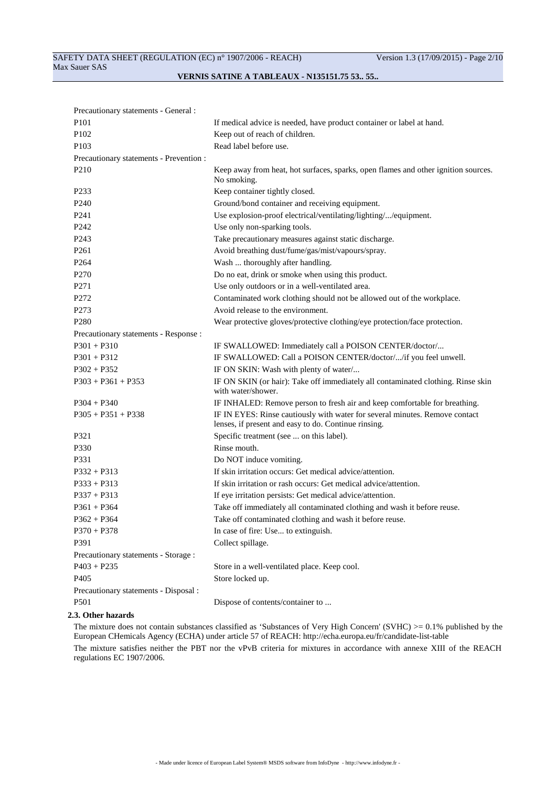## SAFETY DATA SHEET (REGULATION (EC) n° 1907/2006 - REACH) Version 1.3 (17/09/2015) - Page 2/10 Max Sauer SAS

## **VERNIS SATINE A TABLEAUX - N135151.75 53.. 55..**

| Precautionary statements - General :    |                                                                                                                                     |
|-----------------------------------------|-------------------------------------------------------------------------------------------------------------------------------------|
| P101                                    | If medical advice is needed, have product container or label at hand.                                                               |
| P <sub>102</sub>                        | Keep out of reach of children.                                                                                                      |
| P <sub>103</sub>                        | Read label before use.                                                                                                              |
| Precautionary statements - Prevention : |                                                                                                                                     |
| P <sub>210</sub>                        | Keep away from heat, hot surfaces, sparks, open flames and other ignition sources.<br>No smoking.                                   |
| P <sub>2</sub> 33                       | Keep container tightly closed.                                                                                                      |
| P <sub>240</sub>                        | Ground/bond container and receiving equipment.                                                                                      |
| P <sub>241</sub>                        | Use explosion-proof electrical/ventilating/lighting//equipment.                                                                     |
| P <sub>242</sub>                        | Use only non-sparking tools.                                                                                                        |
| P <sub>243</sub>                        | Take precautionary measures against static discharge.                                                                               |
| P <sub>261</sub>                        | Avoid breathing dust/fume/gas/mist/vapours/spray.                                                                                   |
| P <sub>264</sub>                        | Wash  thoroughly after handling.                                                                                                    |
| P <sub>270</sub>                        | Do no eat, drink or smoke when using this product.                                                                                  |
| P271                                    | Use only outdoors or in a well-ventilated area.                                                                                     |
| P272                                    | Contaminated work clothing should not be allowed out of the workplace.                                                              |
| P273                                    | Avoid release to the environment.                                                                                                   |
| P <sub>280</sub>                        | Wear protective gloves/protective clothing/eye protection/face protection.                                                          |
| Precautionary statements - Response :   |                                                                                                                                     |
| $P301 + P310$                           | IF SWALLOWED: Immediately call a POISON CENTER/doctor/                                                                              |
| $P301 + P312$                           | IF SWALLOWED: Call a POISON CENTER/doctor//if you feel unwell.                                                                      |
| $P302 + P352$                           | IF ON SKIN: Wash with plenty of water/                                                                                              |
| $P303 + P361 + P353$                    | IF ON SKIN (or hair): Take off immediately all contaminated clothing. Rinse skin<br>with water/shower.                              |
| $P304 + P340$                           | IF INHALED: Remove person to fresh air and keep comfortable for breathing.                                                          |
| $P305 + P351 + P338$                    | IF IN EYES: Rinse cautiously with water for several minutes. Remove contact<br>lenses, if present and easy to do. Continue rinsing. |
| P321                                    | Specific treatment (see  on this label).                                                                                            |
| P330                                    | Rinse mouth.                                                                                                                        |
| P331                                    | Do NOT induce vomiting.                                                                                                             |
| $P332 + P313$                           | If skin irritation occurs: Get medical advice/attention.                                                                            |
| $P333 + P313$                           | If skin irritation or rash occurs: Get medical advice/attention.                                                                    |
| $P337 + P313$                           | If eye irritation persists: Get medical advice/attention.                                                                           |
| $P361 + P364$                           | Take off immediately all contaminated clothing and wash it before reuse.                                                            |
| $P362 + P364$                           | Take off contaminated clothing and wash it before reuse.                                                                            |
| $P370 + P378$                           | In case of fire: Use to extinguish.                                                                                                 |
| P391                                    | Collect spillage.                                                                                                                   |
| Precautionary statements - Storage:     |                                                                                                                                     |
| $P403 + P235$                           | Store in a well-ventilated place. Keep cool.                                                                                        |
| P <sub>405</sub>                        | Store locked up.                                                                                                                    |
| Precautionary statements - Disposal :   |                                                                                                                                     |
| P501                                    | Dispose of contents/container to                                                                                                    |

#### **2.3. Other hazards**

The mixture does not contain substances classified as 'Substances of Very High Concern' (SVHC) >= 0.1% published by the European CHemicals Agency (ECHA) under article 57 of REACH: http://echa.europa.eu/fr/candidate-list-table The mixture satisfies neither the PBT nor the vPvB criteria for mixtures in accordance with annexe XIII of the REACH

regulations EC 1907/2006.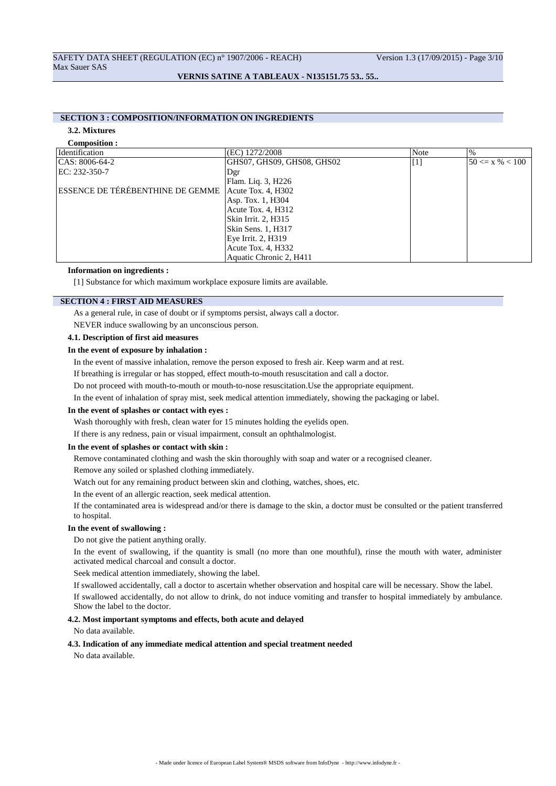## **SECTION 3 : COMPOSITION/INFORMATION ON INGREDIENTS**

#### **3.2. Mixtures**

| Composition :                    |                            |       |                     |
|----------------------------------|----------------------------|-------|---------------------|
| Identification                   | (EC) 1272/2008             | Note  | $\frac{0}{0}$       |
| $ CAS: 8006-64-2$                | GHS07, GHS09, GHS08, GHS02 | $[1]$ | $50 \le x \% < 100$ |
| EC: 232-350-7                    | Dgr                        |       |                     |
|                                  | Flam. Liq. 3, H226         |       |                     |
| ESSENCE DE TÉRÉBENTHINE DE GEMME | Acute Tox. 4, H302         |       |                     |
|                                  | Asp. Tox. 1, H304          |       |                     |
|                                  | Acute Tox. 4, H312         |       |                     |
|                                  | Skin Irrit. 2, H315        |       |                     |
|                                  | Skin Sens. 1, H317         |       |                     |
|                                  | Eye Irrit. 2, H319         |       |                     |
|                                  | Acute Tox. 4, H332         |       |                     |
|                                  | Aquatic Chronic 2, H411    |       |                     |

### **Information on ingredients :**

[1] Substance for which maximum workplace exposure limits are available.

### **SECTION 4 : FIRST AID MEASURES**

As a general rule, in case of doubt or if symptoms persist, always call a doctor.

NEVER induce swallowing by an unconscious person.

#### **4.1. Description of first aid measures**

#### **In the event of exposure by inhalation :**

In the event of massive inhalation, remove the person exposed to fresh air. Keep warm and at rest.

If breathing is irregular or has stopped, effect mouth-to-mouth resuscitation and call a doctor.

Do not proceed with mouth-to-mouth or mouth-to-nose resuscitation.Use the appropriate equipment.

In the event of inhalation of spray mist, seek medical attention immediately, showing the packaging or label.

#### **In the event of splashes or contact with eyes :**

Wash thoroughly with fresh, clean water for 15 minutes holding the eyelids open.

If there is any redness, pain or visual impairment, consult an ophthalmologist.

#### **In the event of splashes or contact with skin :**

Remove contaminated clothing and wash the skin thoroughly with soap and water or a recognised cleaner.

Remove any soiled or splashed clothing immediately.

Watch out for any remaining product between skin and clothing, watches, shoes, etc.

In the event of an allergic reaction, seek medical attention.

If the contaminated area is widespread and/or there is damage to the skin, a doctor must be consulted or the patient transferred to hospital.

#### **In the event of swallowing :**

Do not give the patient anything orally.

In the event of swallowing, if the quantity is small (no more than one mouthful), rinse the mouth with water, administer activated medical charcoal and consult a doctor.

Seek medical attention immediately, showing the label.

If swallowed accidentally, call a doctor to ascertain whether observation and hospital care will be necessary. Show the label.

If swallowed accidentally, do not allow to drink, do not induce vomiting and transfer to hospital immediately by ambulance. Show the label to the doctor.

## **4.2. Most important symptoms and effects, both acute and delayed**

No data available.

#### **4.3. Indication of any immediate medical attention and special treatment needed**

No data available.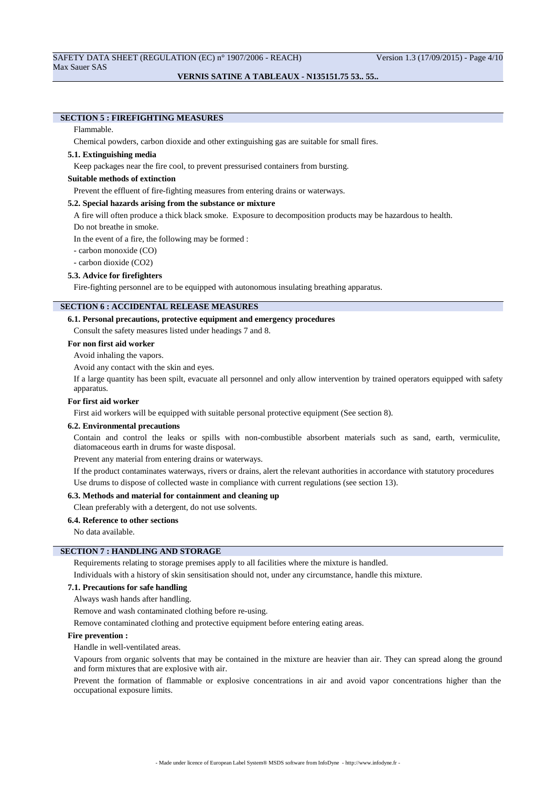## **SECTION 5 : FIREFIGHTING MEASURES**

## Flammable.

Chemical powders, carbon dioxide and other extinguishing gas are suitable for small fires.

### **5.1. Extinguishing media**

Keep packages near the fire cool, to prevent pressurised containers from bursting.

## **Suitable methods of extinction**

Prevent the effluent of fire-fighting measures from entering drains or waterways.

#### **5.2. Special hazards arising from the substance or mixture**

A fire will often produce a thick black smoke. Exposure to decomposition products may be hazardous to health.

Do not breathe in smoke.

In the event of a fire, the following may be formed :

- carbon monoxide (CO)

- carbon dioxide (CO2)

#### **5.3. Advice for firefighters**

Fire-fighting personnel are to be equipped with autonomous insulating breathing apparatus.

### **SECTION 6 : ACCIDENTAL RELEASE MEASURES**

#### **6.1. Personal precautions, protective equipment and emergency procedures**

Consult the safety measures listed under headings 7 and 8.

### **For non first aid worker**

Avoid inhaling the vapors.

Avoid any contact with the skin and eyes.

If a large quantity has been spilt, evacuate all personnel and only allow intervention by trained operators equipped with safety apparatus.

#### **For first aid worker**

First aid workers will be equipped with suitable personal protective equipment (See section 8).

#### **6.2. Environmental precautions**

Contain and control the leaks or spills with non-combustible absorbent materials such as sand, earth, vermiculite, diatomaceous earth in drums for waste disposal.

Prevent any material from entering drains or waterways.

If the product contaminates waterways, rivers or drains, alert the relevant authorities in accordance with statutory procedures Use drums to dispose of collected waste in compliance with current regulations (see section 13).

### **6.3. Methods and material for containment and cleaning up**

Clean preferably with a detergent, do not use solvents.

### **6.4. Reference to other sections**

No data available.

## **SECTION 7 : HANDLING AND STORAGE**

Requirements relating to storage premises apply to all facilities where the mixture is handled.

Individuals with a history of skin sensitisation should not, under any circumstance, handle this mixture.

### **7.1. Precautions for safe handling**

Always wash hands after handling.

Remove and wash contaminated clothing before re-using.

Remove contaminated clothing and protective equipment before entering eating areas.

#### **Fire prevention :**

Handle in well-ventilated areas.

Vapours from organic solvents that may be contained in the mixture are heavier than air. They can spread along the ground and form mixtures that are explosive with air.

Prevent the formation of flammable or explosive concentrations in air and avoid vapor concentrations higher than the occupational exposure limits.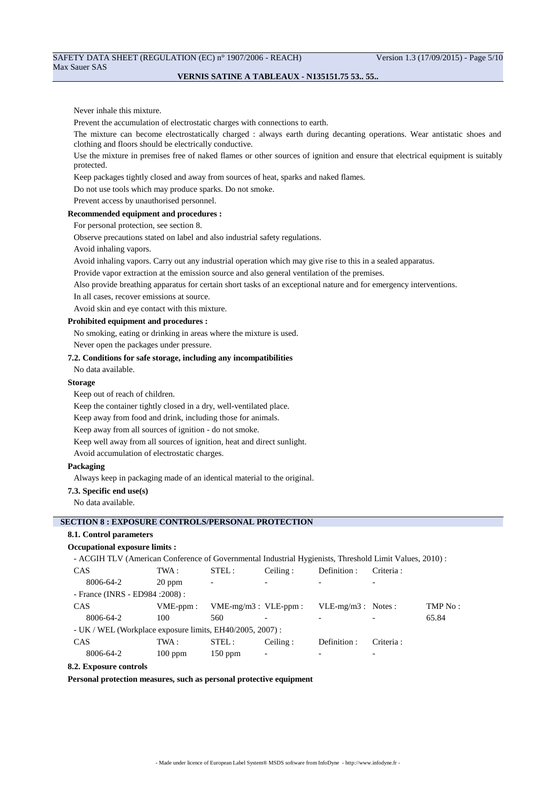#### Never inhale this mixture.

Prevent the accumulation of electrostatic charges with connections to earth.

The mixture can become electrostatically charged : always earth during decanting operations. Wear antistatic shoes and clothing and floors should be electrically conductive.

Use the mixture in premises free of naked flames or other sources of ignition and ensure that electrical equipment is suitably protected.

Keep packages tightly closed and away from sources of heat, sparks and naked flames.

Do not use tools which may produce sparks. Do not smoke.

Prevent access by unauthorised personnel.

### **Recommended equipment and procedures :**

For personal protection, see section 8.

Observe precautions stated on label and also industrial safety regulations.

Avoid inhaling vapors.

Avoid inhaling vapors. Carry out any industrial operation which may give rise to this in a sealed apparatus.

Provide vapor extraction at the emission source and also general ventilation of the premises.

Also provide breathing apparatus for certain short tasks of an exceptional nature and for emergency interventions.

In all cases, recover emissions at source.

Avoid skin and eye contact with this mixture.

## **Prohibited equipment and procedures :**

No smoking, eating or drinking in areas where the mixture is used.

Never open the packages under pressure.

### **7.2. Conditions for safe storage, including any incompatibilities**

No data available.

### **Storage**

Keep out of reach of children.

Keep the container tightly closed in a dry, well-ventilated place.

Keep away from food and drink, including those for animals.

Keep away from all sources of ignition - do not smoke.

Keep well away from all sources of ignition, heat and direct sunlight.

Avoid accumulation of electrostatic charges.

### **Packaging**

Always keep in packaging made of an identical material to the original.

**7.3. Specific end use(s)**

No data available.

### **SECTION 8 : EXPOSURE CONTROLS/PERSONAL PROTECTION**

#### **8.1. Control parameters**

#### **Occupational exposure limits :**

| - ACGIH TLV (American Conference of Governmental Industrial Hygienists, Threshold Limit Values, 2010) : |             |                           |                          |                      |            |         |  |
|---------------------------------------------------------------------------------------------------------|-------------|---------------------------|--------------------------|----------------------|------------|---------|--|
| <b>CAS</b>                                                                                              | TWA :       | STEL:                     | Ceiling:                 | Definition :         | Criteria : |         |  |
| 8006-64-2                                                                                               | $20$ ppm    | ٠                         | $\overline{\phantom{0}}$ |                      |            |         |  |
| - France (INRS - ED984 : 2008) :                                                                        |             |                           |                          |                      |            |         |  |
| <b>CAS</b>                                                                                              | $VME-ppm$ : | $VME-mg/m3$ : $VLE-ppm$ : |                          | $VLE-mg/m3$ : Notes: |            | TMP No: |  |
| 8006-64-2                                                                                               | 100         | 560                       |                          |                      |            | 65.84   |  |
| - UK / WEL (Workplace exposure limits, EH40/2005, 2007) :                                               |             |                           |                          |                      |            |         |  |
| <b>CAS</b>                                                                                              | TWA :       | STEL:                     | Ceiling:                 | Definition :         | Criteria:  |         |  |
| 8006-64-2                                                                                               | $100$ ppm   | $150$ ppm                 | $\overline{\phantom{a}}$ |                      |            |         |  |

### **8.2. Exposure controls**

**Personal protection measures, such as personal protective equipment**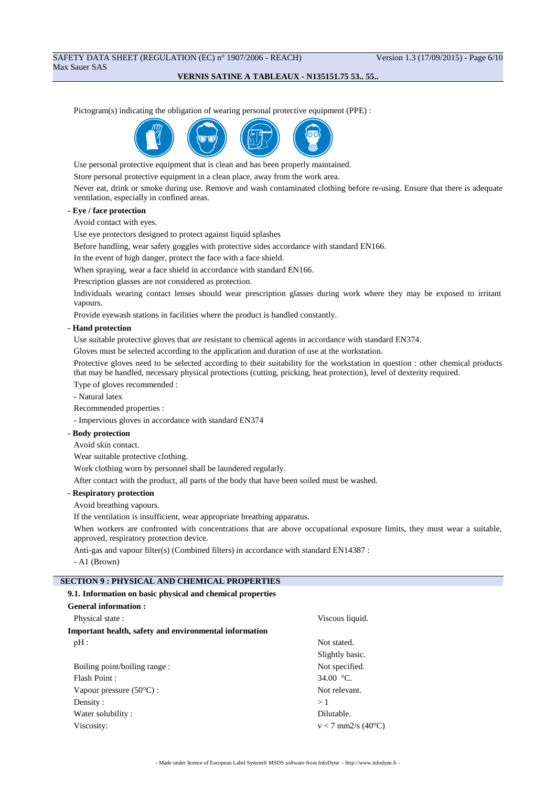## SAFETY DATA SHEET (REGULATION (EC) n° 1907/2006 - REACH) Version 1.3 (17/09/2015) - Page 6/10 Max Sauer SAS

### **VERNIS SATINE A TABLEAUX - N135151.75 53.. 55..**

Pictogram(s) indicating the obligation of wearing personal protective equipment (PPE) :



Use personal protective equipment that is clean and has been properly maintained.

Store personal protective equipment in a clean place, away from the work area.

Never eat, drink or smoke during use. Remove and wash contaminated clothing before re-using. Ensure that there is adequate ventilation, especially in confined areas.

## **- Eye / face protection**

Avoid contact with eyes.

Use eye protectors designed to protect against liquid splashes

Before handling, wear safety goggles with protective sides accordance with standard EN166.

In the event of high danger, protect the face with a face shield.

When spraying, wear a face shield in accordance with standard EN166.

Prescription glasses are not considered as protection.

Individuals wearing contact lenses should wear prescription glasses during work where they may be exposed to irritant vapours.

Provide eyewash stations in facilities where the product is handled constantly.

#### **- Hand protection**

Use suitable protective gloves that are resistant to chemical agents in accordance with standard EN374.

Gloves must be selected according to the application and duration of use at the workstation.

Protective gloves need to be selected according to their suitability for the workstation in question : other chemical products that may be handled, necessary physical protections (cutting, pricking, heat protection), level of dexterity required.

Type of gloves recommended :

- Natural latex

Recommended properties :

- Impervious gloves in accordance with standard EN374

#### **- Body protection**

Avoid skin contact.

Wear suitable protective clothing.

Work clothing worn by personnel shall be laundered regularly.

After contact with the product, all parts of the body that have been soiled must be washed.

### **- Respiratory protection**

Avoid breathing vapours.

If the ventilation is insufficient, wear appropriate breathing apparatus.

When workers are confronted with concentrations that are above occupational exposure limits, they must wear a suitable, approved, respiratory protection device.

Anti-gas and vapour filter(s) (Combined filters) in accordance with standard EN14387 :

- A1 (Brown)

## **SECTION 9 : PHYSICAL AND CHEMICAL PROPERTIES**

#### **9.1. Information on basic physical and chemical properties**

| <b>General information:</b>                                   |                      |
|---------------------------------------------------------------|----------------------|
| Physical state:                                               | Viscous liquid.      |
| <b>Important health, safety and environmental information</b> |                      |
| pH:                                                           | Not stated.          |
|                                                               | Slightly basic.      |
| Boiling point/boiling range:                                  | Not specified.       |
| Flash Point:                                                  | 34.00 $\degree$ C.   |
| Vapour pressure $(50^{\circ}C)$ :                             | Not relevant.        |
| Density:                                                      | >1                   |
| Water solubility:                                             | Dilutable.           |
| Viscosity:                                                    | $v < 7$ mm2/s (40°C) |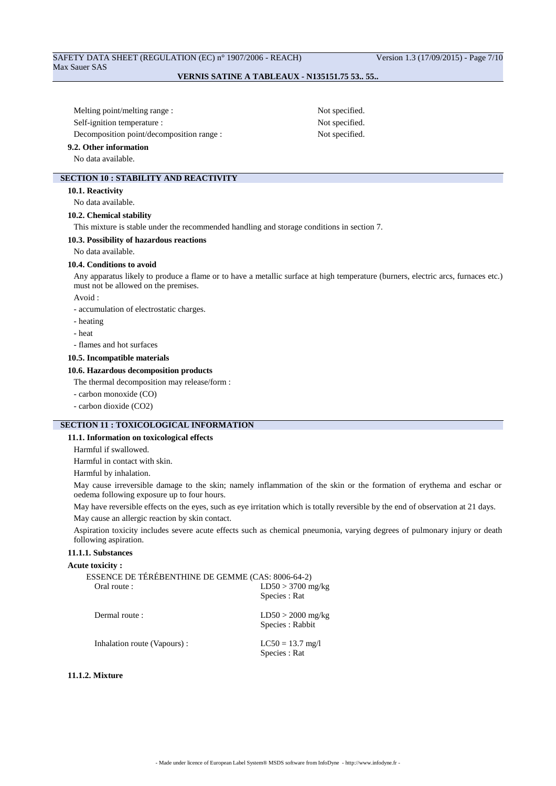## SAFETY DATA SHEET (REGULATION (EC) n° 1907/2006 - REACH) Version 1.3 (17/09/2015) - Page 7/10 Max Sauer SAS

### **VERNIS SATINE A TABLEAUX - N135151.75 53.. 55..**

Melting point/melting range : Not specified. Self-ignition temperature : Not specified. Decomposition point/decomposition range : Not specified.

## **SECTION 10 : STABILITY AND REACTIVITY**

**10.1. Reactivity**

No data available.

**9.2. Other information** No data available.

#### **10.2. Chemical stability**

This mixture is stable under the recommended handling and storage conditions in section 7.

#### **10.3. Possibility of hazardous reactions**

No data available.

#### **10.4. Conditions to avoid**

Any apparatus likely to produce a flame or to have a metallic surface at high temperature (burners, electric arcs, furnaces etc.) must not be allowed on the premises.

Avoid :

- accumulation of electrostatic charges.

- heating
- heat
- flames and hot surfaces

#### **10.5. Incompatible materials**

## **10.6. Hazardous decomposition products**

The thermal decomposition may release/form :

- carbon monoxide (CO)
- carbon dioxide (CO2)

## **SECTION 11 : TOXICOLOGICAL INFORMATION**

### **11.1. Information on toxicological effects**

Harmful if swallowed.

Harmful in contact with skin.

Harmful by inhalation.

May cause irreversible damage to the skin; namely inflammation of the skin or the formation of erythema and eschar or oedema following exposure up to four hours.

May have reversible effects on the eyes, such as eye irritation which is totally reversible by the end of observation at 21 days.

May cause an allergic reaction by skin contact.

Aspiration toxicity includes severe acute effects such as chemical pneumonia, varying degrees of pulmonary injury or death following aspiration.

### **11.1.1. Substances**

#### **Acute toxicity :**

| ESSENCE DE TÉRÉBENTHINE DE GEMME (CAS: 8006-64-2) |                                         |
|---------------------------------------------------|-----------------------------------------|
| Oral route :                                      | $LD50 > 3700$ mg/kg                     |
|                                                   | Species : Rat                           |
| Dermal route:                                     | $LD50 > 2000$ mg/kg<br>Species : Rabbit |
| Inhalation route (Vapours):                       | $LC50 = 13.7$ mg/l                      |
|                                                   | Species : Rat                           |

#### **11.1.2. Mixture**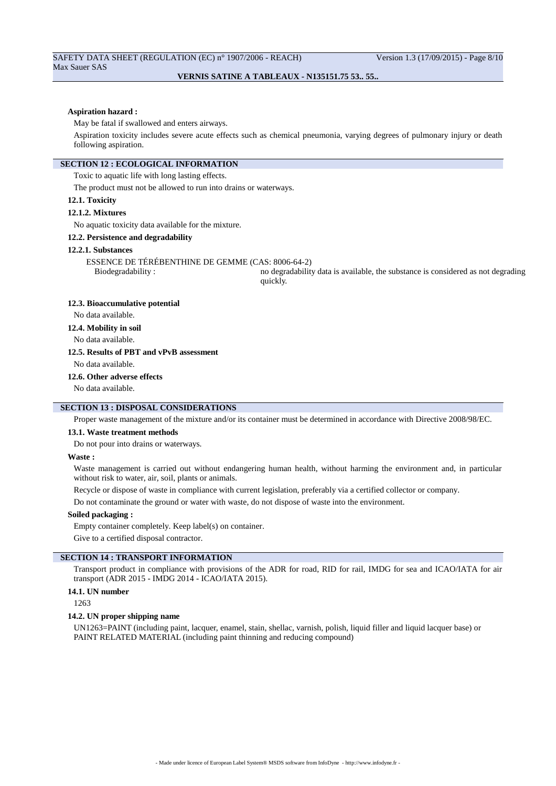#### **Aspiration hazard :**

May be fatal if swallowed and enters airways.

Aspiration toxicity includes severe acute effects such as chemical pneumonia, varying degrees of pulmonary injury or death following aspiration.

### **SECTION 12 : ECOLOGICAL INFORMATION**

Toxic to aquatic life with long lasting effects.

The product must not be allowed to run into drains or waterways.

**12.1. Toxicity**

#### **12.1.2. Mixtures**

No aquatic toxicity data available for the mixture.

#### **12.2. Persistence and degradability**

#### **12.2.1. Substances**

ESSENCE DE TÉRÉBENTHINE DE GEMME (CAS: 8006-64-2)

Biodegradability : no degradability data is available, the substance is considered as not degrading quickly.

#### **12.3. Bioaccumulative potential**

No data available.

**12.4. Mobility in soil**

No data available.

#### **12.5. Results of PBT and vPvB assessment**

No data available.

#### **12.6. Other adverse effects**

No data available.

## **SECTION 13 : DISPOSAL CONSIDERATIONS**

Proper waste management of the mixture and/or its container must be determined in accordance with Directive 2008/98/EC.

#### **13.1. Waste treatment methods**

Do not pour into drains or waterways.

#### **Waste :**

Waste management is carried out without endangering human health, without harming the environment and, in particular without risk to water, air, soil, plants or animals.

Recycle or dispose of waste in compliance with current legislation, preferably via a certified collector or company.

Do not contaminate the ground or water with waste, do not dispose of waste into the environment.

#### **Soiled packaging :**

Empty container completely. Keep label(s) on container.

Give to a certified disposal contractor.

### **SECTION 14 : TRANSPORT INFORMATION**

Transport product in compliance with provisions of the ADR for road, RID for rail, IMDG for sea and ICAO/IATA for air transport (ADR 2015 - IMDG 2014 - ICAO/IATA 2015).

### **14.1. UN number**

1263

#### **14.2. UN proper shipping name**

UN1263=PAINT (including paint, lacquer, enamel, stain, shellac, varnish, polish, liquid filler and liquid lacquer base) or PAINT RELATED MATERIAL (including paint thinning and reducing compound)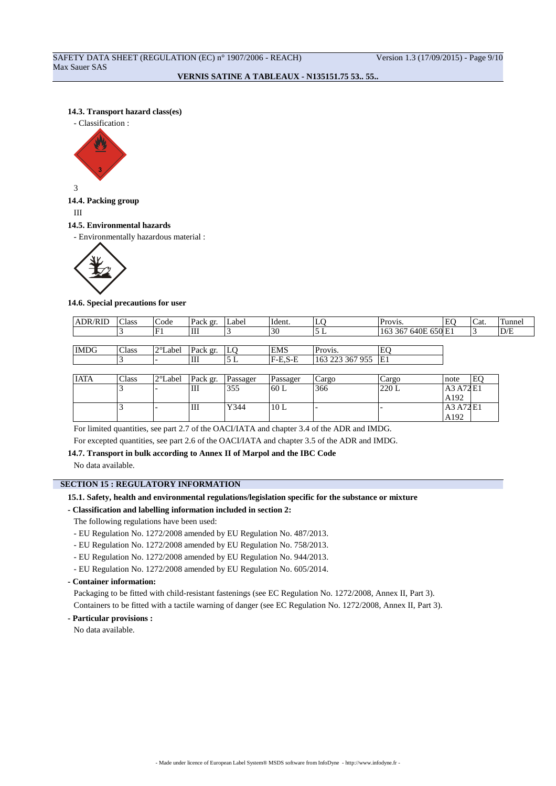### **14.3. Transport hazard class(es)**

- Classification :



3

# **14.4. Packing group**

III

#### **14.5. Environmental hazards**

- Environmentally hazardous material :



#### **14.6. Special precautions for user**

| <b>ADR/RID</b> | Class | Code              | Pack gr. | Label | Ident.     | ∙⊷              | Provis.             | EC | Cat. | Tunnel |
|----------------|-------|-------------------|----------|-------|------------|-----------------|---------------------|----|------|--------|
|                |       |                   | Ш        |       | 3U         | ப               | 163 367 640E 650 E1 |    |      | D/E    |
|                |       |                   |          |       |            |                 |                     |    |      |        |
| <b>IMDG</b>    | Class | $2^{\circ}$ Label | Pack gr. | LO    | <b>EMS</b> | Provis.         | E                   |    |      |        |
|                |       |                   | Ш        | ∸     | $F-E.S-E$  | 163 223 367 955 | ΙE1                 |    |      |        |

| <b>IATA</b> | Class | $2^{\circ}$ Label | Pack gr. | Passager | Passager        | cargo | Cargo | Inote             | E <sub>C</sub> |
|-------------|-------|-------------------|----------|----------|-----------------|-------|-------|-------------------|----------------|
|             |       | -                 | Ш        | 355      | $^{\prime}60$ L | 366   | 220 L | A3 A72 E1         |                |
|             |       | -                 | Ш        | Y344     | 10L             |       |       | A192<br>A3 A72 E1 |                |
|             |       |                   |          |          |                 |       |       | A192              |                |

For limited quantities, see part 2.7 of the OACI/IATA and chapter 3.4 of the ADR and IMDG.

For excepted quantities, see part 2.6 of the OACI/IATA and chapter 3.5 of the ADR and IMDG.

## **14.7. Transport in bulk according to Annex II of Marpol and the IBC Code**

No data available.

### **SECTION 15 : REGULATORY INFORMATION**

## **15.1. Safety, health and environmental regulations/legislation specific for the substance or mixture**

## **- Classification and labelling information included in section 2:**

- The following regulations have been used:
- EU Regulation No. 1272/2008 amended by EU Regulation No. 487/2013.
- EU Regulation No. 1272/2008 amended by EU Regulation No. 758/2013.
- EU Regulation No. 1272/2008 amended by EU Regulation No. 944/2013.
- EU Regulation No. 1272/2008 amended by EU Regulation No. 605/2014.

### **- Container information:**

Packaging to be fitted with child-resistant fastenings (see EC Regulation No. 1272/2008, Annex II, Part 3).

Containers to be fitted with a tactile warning of danger (see EC Regulation No. 1272/2008, Annex II, Part 3).

**- Particular provisions :**

No data available.